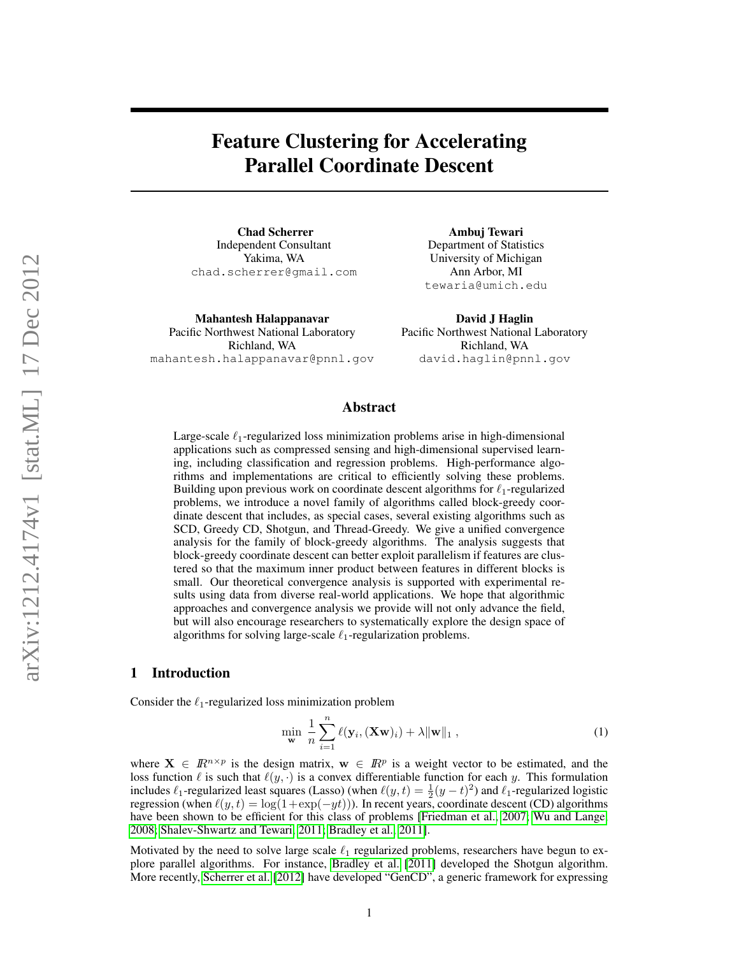# Feature Clustering for Accelerating Parallel Coordinate Descent

Chad Scherrer Independent Consultant Yakima, WA chad.scherrer@gmail.com

Mahantesh Halappanavar Pacific Northwest National Laboratory Richland, WA mahantesh.halappanavar@pnnl.gov

Ambuj Tewari Department of Statistics University of Michigan Ann Arbor, MI tewaria@umich.edu

David J Haglin Pacific Northwest National Laboratory Richland, WA david.haglin@pnnl.gov

## Abstract

Large-scale  $\ell_1$ -regularized loss minimization problems arise in high-dimensional applications such as compressed sensing and high-dimensional supervised learning, including classification and regression problems. High-performance algorithms and implementations are critical to efficiently solving these problems. Building upon previous work on coordinate descent algorithms for  $\ell_1$ -regularized problems, we introduce a novel family of algorithms called block-greedy coordinate descent that includes, as special cases, several existing algorithms such as SCD, Greedy CD, Shotgun, and Thread-Greedy. We give a unified convergence analysis for the family of block-greedy algorithms. The analysis suggests that block-greedy coordinate descent can better exploit parallelism if features are clustered so that the maximum inner product between features in different blocks is small. Our theoretical convergence analysis is supported with experimental results using data from diverse real-world applications. We hope that algorithmic approaches and convergence analysis we provide will not only advance the field, but will also encourage researchers to systematically explore the design space of algorithms for solving large-scale  $\ell_1$ -regularization problems.

## 1 Introduction

Consider the  $\ell_1$ -regularized loss minimization problem

<span id="page-0-0"></span>
$$
\min_{\mathbf{w}} \frac{1}{n} \sum_{i=1}^{n} \ell(\mathbf{y}_i, (\mathbf{X}\mathbf{w})_i) + \lambda \|\mathbf{w}\|_1,
$$
\n(1)

where  $X \in \mathbb{R}^{n \times p}$  is the design matrix,  $w \in \mathbb{R}^p$  is a weight vector to be estimated, and the loss function  $\ell$  is such that  $\ell(y, \cdot)$  is a convex differentiable function for each y. This formulation includes  $\ell_1$ -regularized least squares (Lasso) (when  $\ell(y, t) = \frac{1}{2}(y - t)^2$ ) and  $\ell_1$ -regularized logistic regression (when  $\ell(y, t) = \log(1+\exp(-yt))$ ). In recent years, coordinate descent (CD) algorithms have been shown to be efficient for this class of problems [\[Friedman et al., 2007;](#page-8-0) [Wu and Lange,](#page-8-1) [2008;](#page-8-1) [Shalev-Shwartz and Tewari, 2011;](#page-8-2) [Bradley et al., 2011\]](#page-8-3).

Motivated by the need to solve large scale  $\ell_1$  regularized problems, researchers have begun to explore parallel algorithms. For instance, [Bradley et al.](#page-8-3) [\[2011\]](#page-8-3) developed the Shotgun algorithm. More recently, [Scherrer et al.](#page-8-4) [\[2012\]](#page-8-4) have developed "GenCD", a generic framework for expressing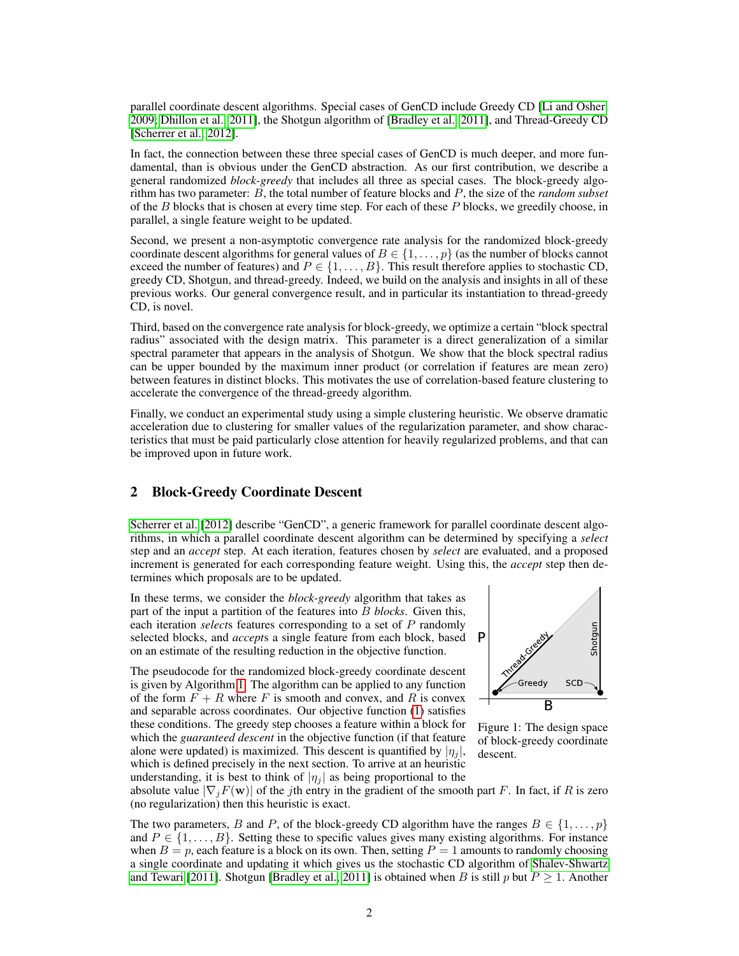parallel coordinate descent algorithms. Special cases of GenCD include Greedy CD [\[Li and Osher,](#page-8-5) [2009;](#page-8-5) [Dhillon et al., 2011\]](#page-8-6), the Shotgun algorithm of [\[Bradley et al., 2011\]](#page-8-3), and Thread-Greedy CD [\[Scherrer et al., 2012\]](#page-8-4).

In fact, the connection between these three special cases of GenCD is much deeper, and more fundamental, than is obvious under the GenCD abstraction. As our first contribution, we describe a general randomized *block-greedy* that includes all three as special cases. The block-greedy algorithm has two parameter: B, the total number of feature blocks and P, the size of the *random subset* of the  $B$  blocks that is chosen at every time step. For each of these  $P$  blocks, we greedily choose, in parallel, a single feature weight to be updated.

Second, we present a non-asymptotic convergence rate analysis for the randomized block-greedy coordinate descent algorithms for general values of  $B \in \{1, \ldots, p\}$  (as the number of blocks cannot exceed the number of features) and  $P \in \{1, \ldots, B\}$ . This result therefore applies to stochastic CD, greedy CD, Shotgun, and thread-greedy. Indeed, we build on the analysis and insights in all of these previous works. Our general convergence result, and in particular its instantiation to thread-greedy CD, is novel.

Third, based on the convergence rate analysis for block-greedy, we optimize a certain "block spectral radius" associated with the design matrix. This parameter is a direct generalization of a similar spectral parameter that appears in the analysis of Shotgun. We show that the block spectral radius can be upper bounded by the maximum inner product (or correlation if features are mean zero) between features in distinct blocks. This motivates the use of correlation-based feature clustering to accelerate the convergence of the thread-greedy algorithm.

Finally, we conduct an experimental study using a simple clustering heuristic. We observe dramatic acceleration due to clustering for smaller values of the regularization parameter, and show characteristics that must be paid particularly close attention for heavily regularized problems, and that can be improved upon in future work.

## 2 Block-Greedy Coordinate Descent

[Scherrer et al.](#page-8-4) [\[2012\]](#page-8-4) describe "GenCD", a generic framework for parallel coordinate descent algorithms, in which a parallel coordinate descent algorithm can be determined by specifying a *select* step and an *accept* step. At each iteration, features chosen by *select* are evaluated, and a proposed increment is generated for each corresponding feature weight. Using this, the *accept* step then determines which proposals are to be updated.

In these terms, we consider the *block-greedy* algorithm that takes as part of the input a partition of the features into B *blocks*. Given this, each iteration *select*s features corresponding to a set of P randomly selected blocks, and *accept*s a single feature from each block, based on an estimate of the resulting reduction in the objective function.

The pseudocode for the randomized block-greedy coordinate descent is given by Algorithm [1.](#page-2-0) The algorithm can be applied to any function of the form  $F + R$  where F is smooth and convex, and R is convex and separable across coordinates. Our objective function [\(1\)](#page-0-0) satisfies these conditions. The greedy step chooses a feature within a block for which the *guaranteed descent* in the objective function (if that feature alone were updated) is maximized. This descent is quantified by  $|\eta_i|$ , which is defined precisely in the next section. To arrive at an heuristic understanding, it is best to think of  $|\eta_i|$  as being proportional to the

<span id="page-1-0"></span>

Figure 1: The design space of block-greedy coordinate descent.

absolute value  $|\nabla_i F(\mathbf{w})|$  of the jth entry in the gradient of the smooth part F. In fact, if R is zero (no regularization) then this heuristic is exact.

The two parameters, B and P, of the block-greedy CD algorithm have the ranges  $B \in \{1, \ldots, p\}$ and  $P \in \{1, \ldots, B\}$ . Setting these to specific values gives many existing algorithms. For instance when  $B = p$ , each feature is a block on its own. Then, setting  $P = 1$  amounts to randomly choosing a single coordinate and updating it which gives us the stochastic CD algorithm of [Shalev-Shwartz](#page-8-2) [and Tewari](#page-8-2) [\[2011\]](#page-8-2). Shotgun [\[Bradley et al., 2011\]](#page-8-3) is obtained when B is still p but  $P \ge 1$ . Another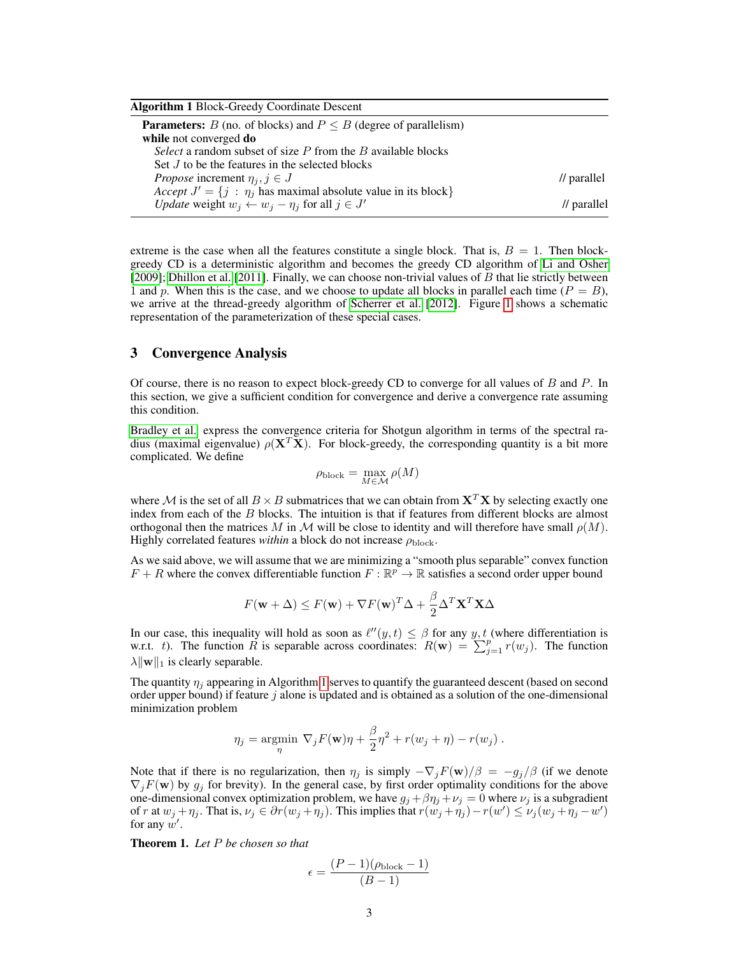<span id="page-2-0"></span>

| <b>Algorithm 1 Block-Greedy Coordinate Descent</b>                                                    |                        |
|-------------------------------------------------------------------------------------------------------|------------------------|
| <b>Parameters:</b> B (no. of blocks) and $P \leq B$ (degree of parallelism)<br>while not converged do |                        |
| <i>Select</i> a random subset of size $P$ from the $B$ available blocks                               |                        |
| Set J to be the features in the selected blocks                                                       |                        |
| <i>Propose</i> increment $\eta_i, j \in J$                                                            | $\frac{1}{2}$ parallel |
| Accept $J' = \{j : \eta_j \text{ has maximal absolute value in its block}\}\$                         |                        |
| <i>Update</i> weight $w_i \leftarrow w_i - \eta_i$ for all $j \in J'$                                 | $\frac{1}{2}$ parallel |

extreme is the case when all the features constitute a single block. That is,  $B = 1$ . Then blockgreedy CD is a deterministic algorithm and becomes the greedy CD algorithm of [Li and Osher](#page-8-5)  $[2009]$ ; [Dhillon et al.](#page-8-6)  $[2011]$ . Finally, we can choose non-trivial values of B that lie strictly between 1 and p. When this is the case, and we choose to update all blocks in parallel each time  $(P = B)$ , we arrive at the thread-greedy algorithm of [Scherrer et al.](#page-8-4) [\[2012\]](#page-8-4). Figure [1](#page-1-0) shows a schematic representation of the parameterization of these special cases.

## <span id="page-2-1"></span>3 Convergence Analysis

Of course, there is no reason to expect block-greedy CD to converge for all values of  $B$  and  $P$ . In this section, we give a sufficient condition for convergence and derive a convergence rate assuming this condition.

[Bradley et al.](#page-8-3) express the convergence criteria for Shotgun algorithm in terms of the spectral radius (maximal eigenvalue)  $\rho(X^T X)$ . For block-greedy, the corresponding quantity is a bit more complicated. We define

$$
\rho_{\rm block} = \max_{M \in \mathcal{M}} \rho(M)
$$

where M is the set of all  $B \times B$  submatrices that we can obtain from  $X^T X$  by selecting exactly one index from each of the  $B$  blocks. The intuition is that if features from different blocks are almost orthogonal then the matrices M in M will be close to identity and will therefore have small  $\rho(M)$ . Highly correlated features *within* a block do not increase  $\rho_{\text{block}}$ .

As we said above, we will assume that we are minimizing a "smooth plus separable" convex function  $F + R$  where the convex differentiable function  $F : \mathbb{R}^p \to \mathbb{R}$  satisfies a second order upper bound

$$
F(\mathbf{w} + \Delta) \le F(\mathbf{w}) + \nabla F(\mathbf{w})^T \Delta + \frac{\beta}{2} \Delta^T \mathbf{X}^T \mathbf{X} \Delta
$$

In our case, this inequality will hold as soon as  $\ell''(y, t) \leq \beta$  for any y, t (where differentiation is w.r.t. t). The function  $\tilde{R}$  is separable across coordinates:  $R(\mathbf{w}) = \sum_{j=1}^{p} r(w_j)$ . The function  $\lambda \|\mathbf{w}\|_1$  is clearly separable.

The quantity  $\eta_i$  appearing in Algorithm [1](#page-2-0) serves to quantify the guaranteed descent (based on second order upper bound) if feature  $j$  alone is updated and is obtained as a solution of the one-dimensional minimization problem

$$
\eta_j = \underset{\eta}{\text{argmin}} \ \nabla_j F(\mathbf{w}) \eta + \frac{\beta}{2} \eta^2 + r(w_j + \eta) - r(w_j) \ .
$$

Note that if there is no regularization, then  $\eta_j$  is simply  $-\nabla_j F(\mathbf{w})/\beta = -g_j/\beta$  (if we denote  $\nabla_j F(\mathbf{w})$  by  $g_j$  for brevity). In the general case, by first order optimality conditions for the above one-dimensional convex optimization problem, we have  $g_j + \beta \eta_j + \nu_j = 0$  where  $\nu_j$  is a subgradient of r at  $w_j + \eta_j$ . That is,  $\nu_j \in \partial r(w_j + \eta_j)$ . This implies that  $r(w_j + \eta_j) - r(w') \le \nu_j(w_j + \eta_j - w')$ for any  $w'$ .

Theorem 1. *Let* P *be chosen so that*

$$
\epsilon = \frac{(P-1)(\rho_{\text{block}}-1)}{(B-1)}
$$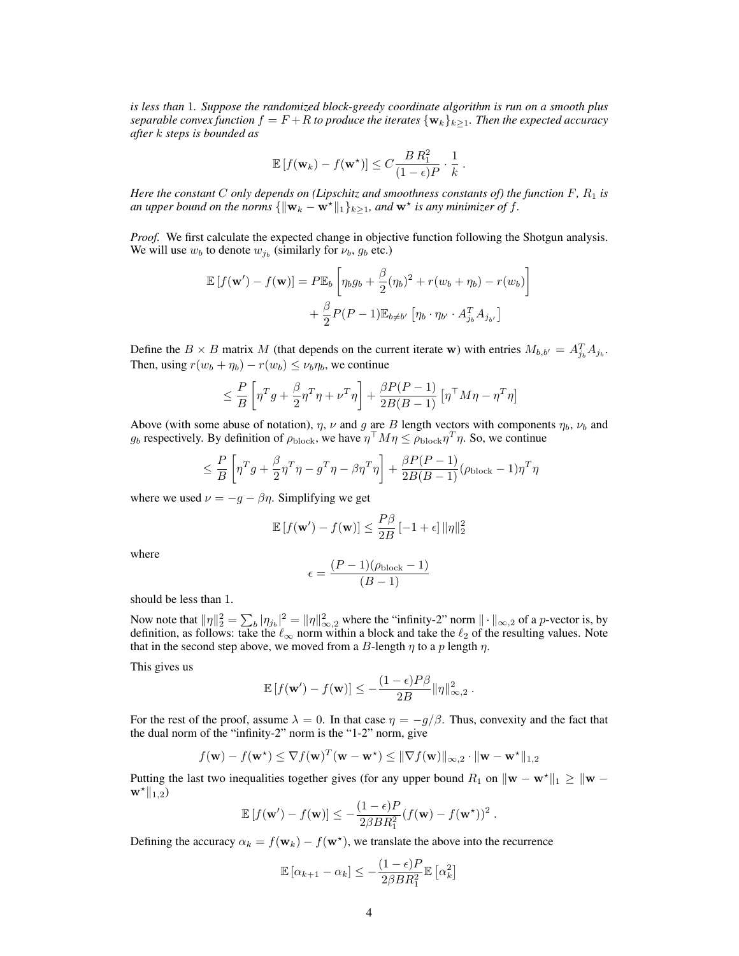*is less than* 1*. Suppose the randomized block-greedy coordinate algorithm is run on a smooth plus separable convex function*  $f = F + R$  *to produce the iterates*  $\{w_k\}_{k>1}$ *. Then the expected accuracy after* k *steps is bounded as*

$$
\mathbb{E}\left[f(\mathbf{w}_k) - f(\mathbf{w}^*)\right] \le C \frac{B R_1^2}{(1 - \epsilon)P} \cdot \frac{1}{k}.
$$

*Here the constant* C *only depends on (Lipschitz and smoothness constants of) the function*  $F$ *,*  $R_1$  *is an upper bound on the norms*  $\{\|\mathbf{w}_k - \mathbf{w}^*\|_1\}_{k\geq 1}$ *, and*  $\mathbf{w}^*$  *is any minimizer of f.* 

*Proof.* We first calculate the expected change in objective function following the Shotgun analysis. We will use  $w_b$  to denote  $w_{j_b}$  (similarly for  $\nu_b$ ,  $g_b$  etc.)

$$
\mathbb{E}\left[f(\mathbf{w}') - f(\mathbf{w})\right] = P\mathbb{E}_b\left[\eta_b g_b + \frac{\beta}{2}(\eta_b)^2 + r(w_b + \eta_b) - r(w_b)\right] + \frac{\beta}{2} P(P-1)\mathbb{E}_{b \neq b'}\left[\eta_b \cdot \eta_{b'} \cdot A_{j_b}^T A_{j_{b'}}\right]
$$

Define the  $B \times B$  matrix M (that depends on the current iterate w) with entries  $M_{b,b'} = A_{j_b}^T A_{j_b}$ . Then, using  $r(w_b + \eta_b) - r(w_b) \leq \nu_b \eta_b$ , we continue

$$
\leq \frac{P}{B} \left[ \eta^T g + \frac{\beta}{2} \eta^T \eta + \nu^T \eta \right] + \frac{\beta P (P - 1)}{2B (B - 1)} \left[ \eta^{\top} M \eta - \eta^T \eta \right]
$$

Above (with some abuse of notation),  $\eta$ ,  $\nu$  and g are B length vectors with components  $\eta_b$ ,  $\nu_b$  and  $g_b$  respectively. By definition of  $\rho_{\rm block}$ , we have  $\eta^{T} M \eta \leq \rho_{\rm block} \eta^{T} \eta$ . So, we continue

$$
\leq \frac{P}{B} \left[ \eta^T g + \frac{\beta}{2} \eta^T \eta - g^T \eta - \beta \eta^T \eta \right] + \frac{\beta P (P - 1)}{2B (B - 1)} (\rho_{\text{block}} - 1) \eta^T \eta
$$

where we used  $\nu = -g - \beta \eta$ . Simplifying we get

$$
\mathbb{E}\left[f(\mathbf{w}') - f(\mathbf{w})\right] \le \frac{P\beta}{2B} \left[-1 + \epsilon\right] \|\eta\|_2^2
$$

where

$$
\epsilon = \frac{(P-1)(\rho_{\text{block}}-1)}{(B-1)}
$$

should be less than 1.

Now note that  $\|\eta\|_2^2 = \sum_b |\eta_{j_b}|^2 = \|\eta\|_{\infty,2}^2$  where the "infinity-2" norm  $\|\cdot\|_{\infty,2}$  of a p-vector is, by definition, as follows: take the  $\ell_{\infty}$  norm within a block and take the  $\ell_2$  of the resulting values. Note that in the second step above, we moved from a B-length  $\eta$  to a p length  $\eta$ .

This gives us

$$
\mathbb{E}\left[f(\mathbf{w}') - f(\mathbf{w})\right] \le -\frac{(1-\epsilon)P\beta}{2B} \|\eta\|_{\infty,2}^2.
$$

For the rest of the proof, assume  $\lambda = 0$ . In that case  $\eta = -q/\beta$ . Thus, convexity and the fact that the dual norm of the "infinity-2" norm is the "1-2" norm, give

$$
f(\mathbf{w}) - f(\mathbf{w}^*) \leq \nabla f(\mathbf{w})^T (\mathbf{w} - \mathbf{w}^*) \leq \|\nabla f(\mathbf{w})\|_{\infty,2} \cdot \|\mathbf{w} - \mathbf{w}^*\|_{1,2}
$$

Putting the last two inequalities together gives (for any upper bound R<sub>1</sub> on  $\|\mathbf{w} - \mathbf{w}^*\|_1 \geq \|\mathbf{w} - \mathbf{w}^*\|_1$  $\mathbf{w}^{\star} \|_{1,2}$ 

$$
\mathbb{E}\left[f(\mathbf{w}') - f(\mathbf{w})\right] \leq -\frac{(1-\epsilon)P}{2\beta BR_1^2} (f(\mathbf{w}) - f(\mathbf{w}^{\star}))^2.
$$

Defining the accuracy  $\alpha_k = f(\mathbf{w}_k) - f(\mathbf{w}^*)$ , we translate the above into the recurrence

$$
\mathbb{E}\left[\alpha_{k+1} - \alpha_k\right] \le -\frac{(1-\epsilon)P}{2\beta BR_1^2} \mathbb{E}\left[\alpha_k^2\right]
$$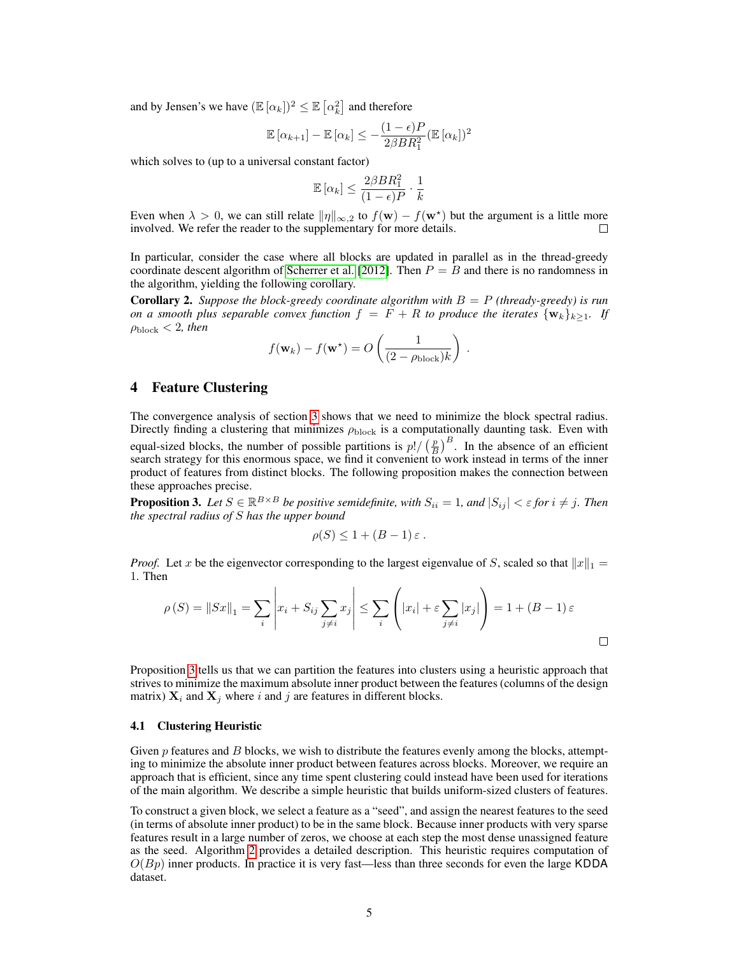and by Jensen's we have  $(\mathbb{E}[\alpha_k])^2 \leq \mathbb{E}[\alpha_k^2]$  and therefore

$$
\mathbb{E}\left[\alpha_{k+1}\right] - \mathbb{E}\left[\alpha_k\right] \le -\frac{(1-\epsilon)P}{2\beta BR_1^2} \left(\mathbb{E}\left[\alpha_k\right]\right)^2
$$

which solves to (up to a universal constant factor)

$$
\mathbb{E}\left[\alpha_k\right] \leq \frac{2\beta BR_1^2}{(1-\epsilon)P} \cdot \frac{1}{k}
$$

Even when  $\lambda > 0$ , we can still relate  $\|\eta\|_{\infty,2}$  to  $f(\mathbf{w}) - f(\mathbf{w}^*)$  but the argument is a little more involved. We refer the reader to the supplementary for more details.  $\Box$ 

In particular, consider the case where all blocks are updated in parallel as in the thread-greedy coordinate descent algorithm of [Scherrer et al.](#page-8-4) [\[2012\]](#page-8-4). Then  $P = B$  and there is no randomness in the algorithm, yielding the following corollary.

**Corollary 2.** *Suppose the block-greedy coordinate algorithm with*  $B = P$  *(thready-greedy) is run on a smooth plus separable convex function*  $f = F + R$  *to produce the iterates*  $\{w_k\}_{k\geq 1}$ *. If*  $\rho_{\rm block}$  < 2*, then* 

$$
f(\mathbf{w}_k) - f(\mathbf{w}^*) = O\left(\frac{1}{(2 - \rho_{\text{block}})k}\right) .
$$

## 4 Feature Clustering

The convergence analysis of section [3](#page-2-1) shows that we need to minimize the block spectral radius. Directly finding a clustering that minimizes  $\rho_{\rm block}$  is a computationally daunting task. Even with equal-sized blocks, the number of possible partitions is  $p! / (\frac{p}{B})^B$ . In the absence of an efficient search strategy for this enormous space, we find it convenient to work instead in terms of the inner product of features from distinct blocks. The following proposition makes the connection between these approaches precise.

<span id="page-4-0"></span>**Proposition 3.** Let  $S \in \mathbb{R}^{B \times B}$  be positive semidefinite, with  $S_{ii} = 1$ , and  $|S_{ij}| < \varepsilon$  for  $i \neq j$ . Then *the spectral radius of* S *has the upper bound*

$$
\rho(S) \le 1 + (B - 1)\,\varepsilon \,.
$$

*Proof.* Let x be the eigenvector corresponding to the largest eigenvalue of S, scaled so that  $||x||_1 =$ 1. Then

$$
\rho(S) = \|Sx\|_1 = \sum_i \left| x_i + S_{ij} \sum_{j \neq i} x_j \right| \le \sum_i \left( |x_i| + \varepsilon \sum_{j \neq i} |x_j| \right) = 1 + (B - 1)\varepsilon
$$

Proposition [3](#page-4-0) tells us that we can partition the features into clusters using a heuristic approach that strives to minimize the maximum absolute inner product between the features (columns of the design matrix)  $X_i$  and  $X_j$  where i and j are features in different blocks.

#### 4.1 Clustering Heuristic

Given p features and B blocks, we wish to distribute the features evenly among the blocks, attempting to minimize the absolute inner product between features across blocks. Moreover, we require an approach that is efficient, since any time spent clustering could instead have been used for iterations of the main algorithm. We describe a simple heuristic that builds uniform-sized clusters of features.

To construct a given block, we select a feature as a "seed", and assign the nearest features to the seed (in terms of absolute inner product) to be in the same block. Because inner products with very sparse features result in a large number of zeros, we choose at each step the most dense unassigned feature as the seed. Algorithm [2](#page-5-0) provides a detailed description. This heuristic requires computation of  $O(Bp)$  inner products. In practice it is very fast—less than three seconds for even the large KDDA dataset.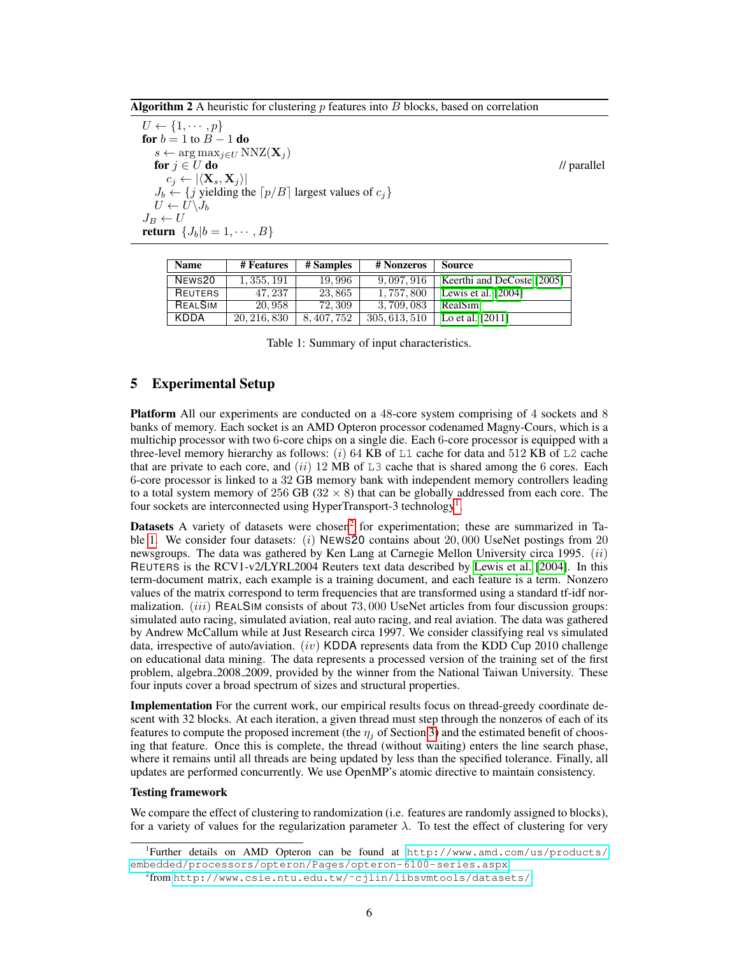<span id="page-5-0"></span>**Algorithm 2** A heuristic for clustering  $p$  features into  $B$  blocks, based on correlation

 $U \leftarrow \{1, \cdots, p\}$ for  $b = 1$  to  $B - 1$  do  $s \leftarrow \arg \max_{j \in U} NNZ(\mathbf{X}_j)$ for  $j \in U$  do  $\blacksquare$  // parallel  $c_j \leftarrow |\langle \mathbf{X}_s, \mathbf{X}_j \rangle|$  $J_b \leftarrow \{j \text{ yielding the } [p/B] \text{ largest values of } c_j\}$  $U \leftarrow U \backslash J_b$  $J_B \leftarrow U$ return  $\{J_b|b=1,\cdots,B\}$ 

| KDDA                                       |  |  | 20, 216, 830   8, 407, 752   305, 613, 510   Lo et al. [2011] |  |  |  |  |  |
|--------------------------------------------|--|--|---------------------------------------------------------------|--|--|--|--|--|
| Table 1: Summary of input characteristics. |  |  |                                                               |  |  |  |  |  |

3, 709, 083 [RealSim](#page-8-9)

NEWS20 1, 355, 191 19, 996 9, 097, 916 [Keerthi and DeCoste](#page-8-7) [\[2005\]](#page-8-7)

REUTERS 47, 237 23, 865 1, 757, 800 [Lewis et al.](#page-8-8) [\[2004\]](#page-8-8)<br>REALSIM 20, 958 72, 309 3, 709, 083 RealSim

<span id="page-5-3"></span>Name # Features | # Samples | # Nonzeros | Source

## 5 Experimental Setup

Platform All our experiments are conducted on a 48-core system comprising of 4 sockets and 8 banks of memory. Each socket is an AMD Opteron processor codenamed Magny-Cours, which is a multichip processor with two 6-core chips on a single die. Each 6-core processor is equipped with a three-level memory hierarchy as follows:  $(i)$  64 KB of L1 cache for data and 512 KB of L2 cache that are private to each core, and  $(ii)$  12 MB of L3 cache that is shared among the 6 cores. Each 6-core processor is linked to a 32 GB memory bank with independent memory controllers leading to a total system memory of 256 GB ( $32 \times 8$ ) that can be globally addressed from each core. The four sockets are interconnected using HyperTransport-3 technology<sup>[1](#page-5-1)</sup>.

**Datasets** A variety of datasets were chosen<sup>[2](#page-5-2)</sup> for experimentation; these are summarized in Ta-ble [1.](#page-5-3) We consider four datasets:  $(i)$  NEWS20 contains about 20,000 UseNet postings from 20 newsgroups. The data was gathered by Ken Lang at Carnegie Mellon University circa 1995.  $(ii)$ REUTERS is the RCV1-v2/LYRL2004 Reuters text data described by [Lewis et al.](#page-8-8) [\[2004\]](#page-8-8). In this term-document matrix, each example is a training document, and each feature is a term. Nonzero values of the matrix correspond to term frequencies that are transformed using a standard tf-idf normalization. *(iii)* REALSIM consists of about 73,000 UseNet articles from four discussion groups: simulated auto racing, simulated aviation, real auto racing, and real aviation. The data was gathered by Andrew McCallum while at Just Research circa 1997. We consider classifying real vs simulated data, irrespective of auto/aviation. (iv) KDDA represents data from the KDD Cup 2010 challenge on educational data mining. The data represents a processed version of the training set of the first problem, algebra 2008 2009, provided by the winner from the National Taiwan University. These four inputs cover a broad spectrum of sizes and structural properties.

Implementation For the current work, our empirical results focus on thread-greedy coordinate descent with 32 blocks. At each iteration, a given thread must step through the nonzeros of each of its features to compute the proposed increment (the  $\eta_i$  of Section [3\)](#page-2-1) and the estimated benefit of choosing that feature. Once this is complete, the thread (without waiting) enters the line search phase, where it remains until all threads are being updated by less than the specified tolerance. Finally, all updates are performed concurrently. We use OpenMP's atomic directive to maintain consistency.

#### Testing framework

We compare the effect of clustering to randomization (i.e. features are randomly assigned to blocks), for a variety of values for the regularization parameter  $\lambda$ . To test the effect of clustering for very

<span id="page-5-1"></span><sup>1</sup> Further details on AMD Opteron can be found at [http://www.amd.com/us/products/](http://www.amd.com/us/products/embedded/processors/opteron/Pages/opteron-6100-series.aspx) [embedded/processors/opteron/Pages/opteron-6100-series.aspx](http://www.amd.com/us/products/embedded/processors/opteron/Pages/opteron-6100-series.aspx).

<span id="page-5-2"></span><sup>2</sup> from [http://www.csie.ntu.edu.tw/˜cjlin/libsvmtools/datasets/](http://www.csie.ntu.edu.tw/~cjlin/libsvmtools/datasets/)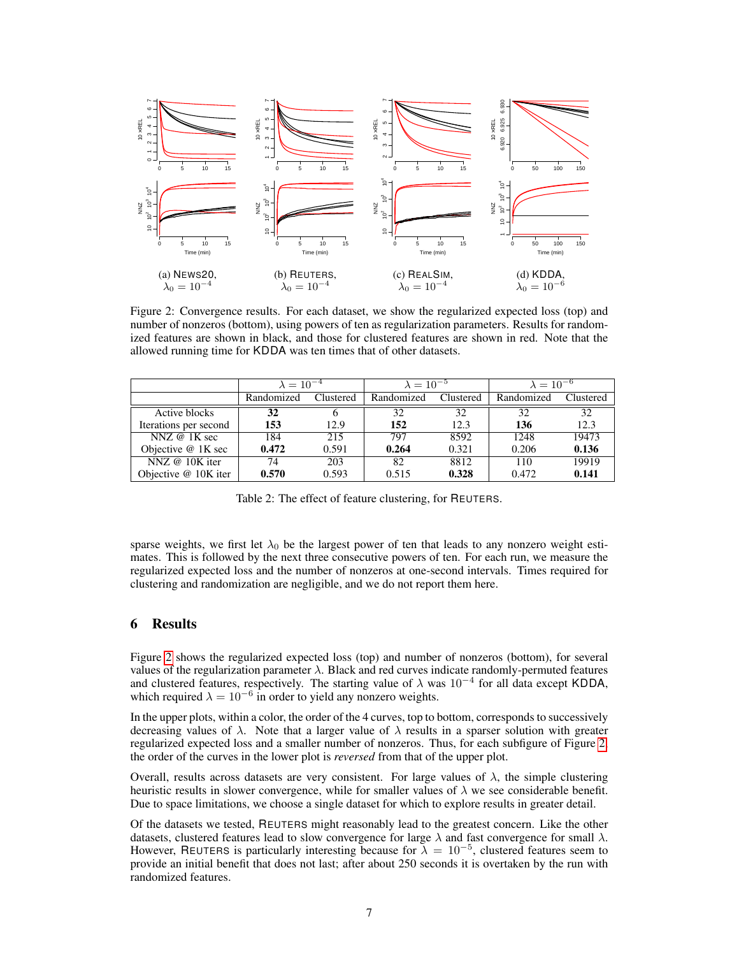<span id="page-6-0"></span>

Figure 2: Convergence results. For each dataset, we show the regularized expected loss (top) and number of nonzeros (bottom), using powers of ten as regularization parameters. Results for randomized features are shown in black, and those for clustered features are shown in red. Note that the allowed running time for KDDA was ten times that of other datasets.

<span id="page-6-1"></span>

|                        | $\lambda = 10^{-4}$ |           | $\lambda = 10^{-5}$ |           | $\lambda = 10^{-6}$ |           |
|------------------------|---------------------|-----------|---------------------|-----------|---------------------|-----------|
|                        | Randomized          | Clustered | Randomized          | Clustered | Randomized          | Clustered |
| Active blocks          | 32                  | O         | 32                  | 32        | 32                  | 32        |
| Iterations per second  | 153                 | 12.9      | 152                 | 12.3      | 136                 | 12.3      |
| NNZ $@$ 1K sec         | 184                 | 215       | 797                 | 8592      | 1248                | 19473     |
| Objective @ 1K sec     | 0.472               | 0.591     | 0.264               | 0.321     | 0.206               | 0.136     |
| NNZ $@$ 10K iter       | 74                  | 203       | 82                  | 8812      | 110                 | 19919     |
| Objective $@$ 10K iter | 0.570               | 0.593     | 0.515               | 0.328     | 0.472               | 0.141     |

Table 2: The effect of feature clustering, for REUTERS.

sparse weights, we first let  $\lambda_0$  be the largest power of ten that leads to any nonzero weight estimates. This is followed by the next three consecutive powers of ten. For each run, we measure the regularized expected loss and the number of nonzeros at one-second intervals. Times required for clustering and randomization are negligible, and we do not report them here.

## 6 Results

Figure [2](#page-6-0) shows the regularized expected loss (top) and number of nonzeros (bottom), for several values of the regularization parameter  $\lambda$ . Black and red curves indicate randomly-permuted features and clustered features, respectively. The starting value of  $\lambda$  was 10<sup>-4</sup> for all data except KDDA, which required  $\lambda = 10^{-6}$  in order to yield any nonzero weights.

In the upper plots, within a color, the order of the 4 curves, top to bottom, corresponds to successively decreasing values of  $\lambda$ . Note that a larger value of  $\lambda$  results in a sparser solution with greater regularized expected loss and a smaller number of nonzeros. Thus, for each subfigure of Figure [2,](#page-6-0) the order of the curves in the lower plot is *reversed* from that of the upper plot.

Overall, results across datasets are very consistent. For large values of  $\lambda$ , the simple clustering heuristic results in slower convergence, while for smaller values of  $\lambda$  we see considerable benefit. Due to space limitations, we choose a single dataset for which to explore results in greater detail.

Of the datasets we tested, REUTERS might reasonably lead to the greatest concern. Like the other datasets, clustered features lead to slow convergence for large  $\lambda$  and fast convergence for small  $\lambda$ . However, REUTERS is particularly interesting because for  $\lambda = 10^{-5}$ , clustered features seem to provide an initial benefit that does not last; after about 250 seconds it is overtaken by the run with randomized features.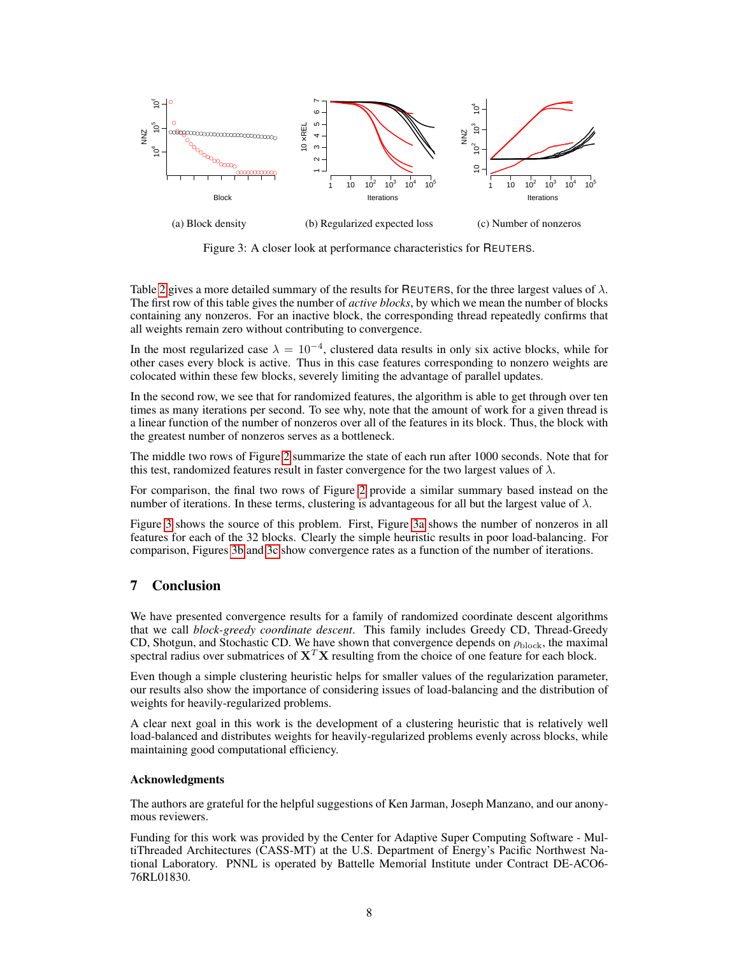<span id="page-7-0"></span>

Figure 3: A closer look at performance characteristics for REUTERS.

Table [2](#page-6-1) gives a more detailed summary of the results for REUTERS, for the three largest values of  $\lambda$ . The first row of this table gives the number of *active blocks*, by which we mean the number of blocks containing any nonzeros. For an inactive block, the corresponding thread repeatedly confirms that all weights remain zero without contributing to convergence.

In the most regularized case  $\lambda = 10^{-4}$ , clustered data results in only six active blocks, while for other cases every block is active. Thus in this case features corresponding to nonzero weights are colocated within these few blocks, severely limiting the advantage of parallel updates.

In the second row, we see that for randomized features, the algorithm is able to get through over ten times as many iterations per second. To see why, note that the amount of work for a given thread is a linear function of the number of nonzeros over all of the features in its block. Thus, the block with the greatest number of nonzeros serves as a bottleneck.

The middle two rows of Figure [2](#page-6-1) summarize the state of each run after 1000 seconds. Note that for this test, randomized features result in faster convergence for the two largest values of  $\lambda$ .

For comparison, the final two rows of Figure [2](#page-6-1) provide a similar summary based instead on the number of iterations. In these terms, clustering is advantageous for all but the largest value of  $\lambda$ .

Figure [3](#page-7-0) shows the source of this problem. First, Figure [3a](#page-7-0) shows the number of nonzeros in all features for each of the 32 blocks. Clearly the simple heuristic results in poor load-balancing. For comparison, Figures [3b](#page-7-0) and [3c](#page-7-0) show convergence rates as a function of the number of iterations.

## 7 Conclusion

We have presented convergence results for a family of randomized coordinate descent algorithms that we call *block-greedy coordinate descent*. This family includes Greedy CD, Thread-Greedy CD, Shotgun, and Stochastic CD. We have shown that convergence depends on  $\rho_{\text{block}}$ , the maximal spectral radius over submatrices of  $X^T X$  resulting from the choice of one feature for each block.

Even though a simple clustering heuristic helps for smaller values of the regularization parameter, our results also show the importance of considering issues of load-balancing and the distribution of weights for heavily-regularized problems.

A clear next goal in this work is the development of a clustering heuristic that is relatively well load-balanced and distributes weights for heavily-regularized problems evenly across blocks, while maintaining good computational efficiency.

## Acknowledgments

The authors are grateful for the helpful suggestions of Ken Jarman, Joseph Manzano, and our anonymous reviewers.

Funding for this work was provided by the Center for Adaptive Super Computing Software - MultiThreaded Architectures (CASS-MT) at the U.S. Department of Energy's Pacific Northwest National Laboratory. PNNL is operated by Battelle Memorial Institute under Contract DE-ACO6- 76RL01830.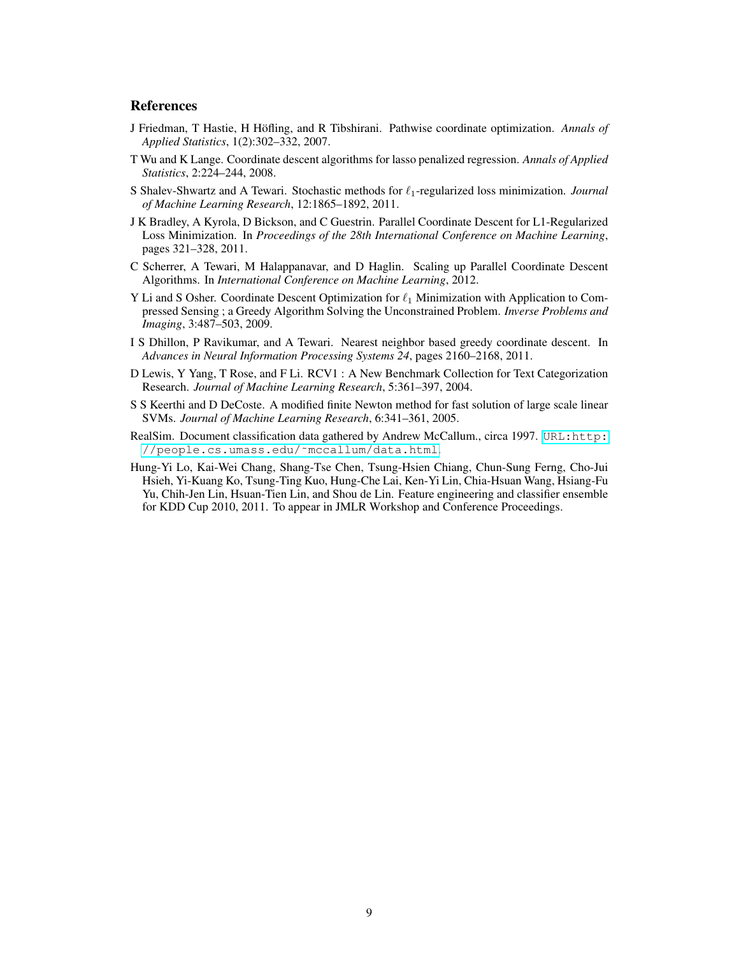## **References**

- <span id="page-8-0"></span>J Friedman, T Hastie, H Höfling, and R Tibshirani. Pathwise coordinate optimization. Annals of *Applied Statistics*, 1(2):302–332, 2007.
- <span id="page-8-1"></span>T Wu and K Lange. Coordinate descent algorithms for lasso penalized regression. *Annals of Applied Statistics*, 2:224–244, 2008.
- <span id="page-8-2"></span>S Shalev-Shwartz and A Tewari. Stochastic methods for  $\ell_1$ -regularized loss minimization. *Journal of Machine Learning Research*, 12:1865–1892, 2011.
- <span id="page-8-3"></span>J K Bradley, A Kyrola, D Bickson, and C Guestrin. Parallel Coordinate Descent for L1-Regularized Loss Minimization. In *Proceedings of the 28th International Conference on Machine Learning*, pages 321–328, 2011.
- <span id="page-8-4"></span>C Scherrer, A Tewari, M Halappanavar, and D Haglin. Scaling up Parallel Coordinate Descent Algorithms. In *International Conference on Machine Learning*, 2012.
- <span id="page-8-5"></span>Y Li and S Osher. Coordinate Descent Optimization for  $\ell_1$  Minimization with Application to Compressed Sensing ; a Greedy Algorithm Solving the Unconstrained Problem. *Inverse Problems and Imaging*, 3:487–503, 2009.
- <span id="page-8-6"></span>I S Dhillon, P Ravikumar, and A Tewari. Nearest neighbor based greedy coordinate descent. In *Advances in Neural Information Processing Systems 24*, pages 2160–2168, 2011.
- <span id="page-8-8"></span>D Lewis, Y Yang, T Rose, and F Li. RCV1 : A New Benchmark Collection for Text Categorization Research. *Journal of Machine Learning Research*, 5:361–397, 2004.
- <span id="page-8-7"></span>S S Keerthi and D DeCoste. A modified finite Newton method for fast solution of large scale linear SVMs. *Journal of Machine Learning Research*, 6:341–361, 2005.
- <span id="page-8-9"></span>RealSim. Document classification data gathered by Andrew McCallum., circa 1997. [URL:http:](URL: http://people.cs.umass.edu/~mccallum/data.html) [//people.cs.umass.edu/˜mccallum/data.html](URL: http://people.cs.umass.edu/~mccallum/data.html).
- <span id="page-8-10"></span>Hung-Yi Lo, Kai-Wei Chang, Shang-Tse Chen, Tsung-Hsien Chiang, Chun-Sung Ferng, Cho-Jui Hsieh, Yi-Kuang Ko, Tsung-Ting Kuo, Hung-Che Lai, Ken-Yi Lin, Chia-Hsuan Wang, Hsiang-Fu Yu, Chih-Jen Lin, Hsuan-Tien Lin, and Shou de Lin. Feature engineering and classifier ensemble for KDD Cup 2010, 2011. To appear in JMLR Workshop and Conference Proceedings.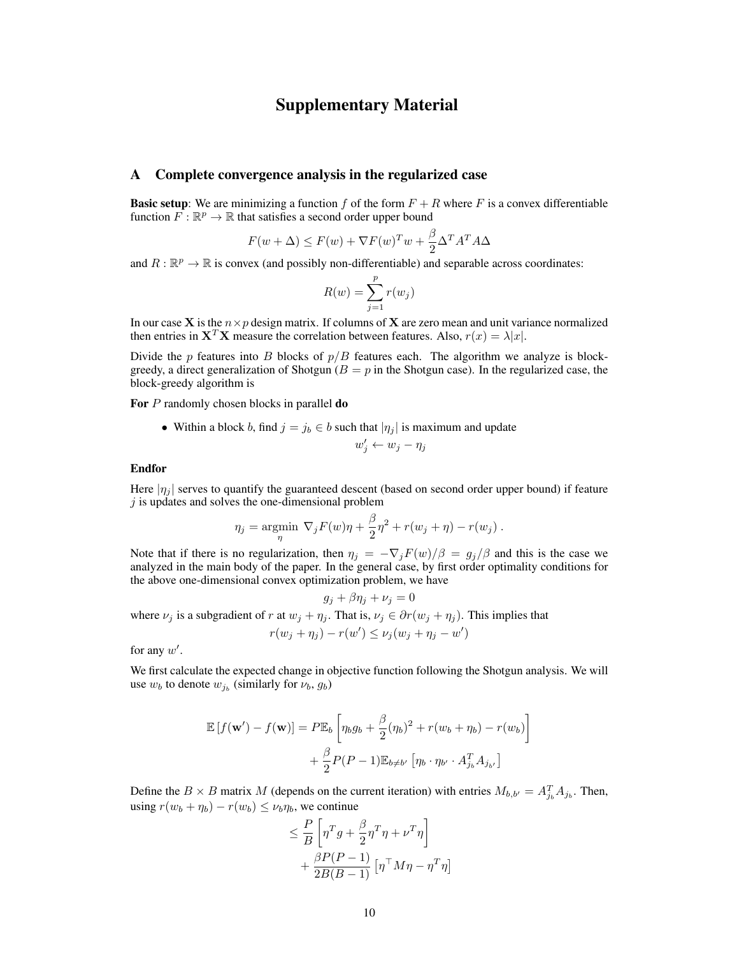## Supplementary Material

## A Complete convergence analysis in the regularized case

**Basic setup:** We are minimizing a function f of the form  $F + R$  where F is a convex differentiable function  $\overline{F} : \mathbb{R}^p \to \mathbb{R}$  that satisfies a second order upper bound

$$
F(w + \Delta) \le F(w) + \nabla F(w)^T w + \frac{\beta}{2} \Delta^T A^T A \Delta
$$

and  $R : \mathbb{R}^p \to \mathbb{R}$  is convex (and possibly non-differentiable) and separable across coordinates:

$$
R(w) = \sum_{j=1}^{p} r(w_j)
$$

In our case X is the  $n \times p$  design matrix. If columns of X are zero mean and unit variance normalized then entries in  $X^T X$  measure the correlation between features. Also,  $r(x) = \lambda |x|$ .

Divide the p features into B blocks of  $p/B$  features each. The algorithm we analyze is blockgreedy, a direct generalization of Shotgun ( $B = p$  in the Shotgun case). In the regularized case, the block-greedy algorithm is

For P randomly chosen blocks in parallel **do** 

• Within a block b, find  $j = j_b \in b$  such that  $|\eta_j|$  is maximum and update

$$
w'_j \leftarrow w_j - \eta_j
$$

### Endfor

Here  $|\eta_i|$  serves to quantify the guaranteed descent (based on second order upper bound) if feature  $j$  is updates and solves the one-dimensional problem

$$
\eta_j = \underset{\eta}{\text{argmin}} \ \nabla_j F(w)\eta + \frac{\beta}{2}\eta^2 + r(w_j + \eta) - r(w_j) \ .
$$

Note that if there is no regularization, then  $\eta_j = -\nabla_j F(w)/\beta = g_j/\beta$  and this is the case we analyzed in the main body of the paper. In the general case, by first order optimality conditions for the above one-dimensional convex optimization problem, we have

$$
g_j + \beta \eta_j + \nu_j = 0
$$
  
where  $\nu_j$  is a subgradient of r at  $w_j + \eta_j$ . That is,  $\nu_j \in \partial r(w_j + \eta_j)$ . This implies that  

$$
r(w_j + \eta_j) - r(w') \le \nu_j(w_j + \eta_j - w')
$$

for any  $w'$ .

We first calculate the expected change in objective function following the Shotgun analysis. We will use  $w_b$  to denote  $w_{j_b}$  (similarly for  $\nu_b$ ,  $g_b$ )

$$
\mathbb{E}\left[f(\mathbf{w}') - f(\mathbf{w})\right] = P\mathbb{E}_b\left[\eta_b g_b + \frac{\beta}{2}(\eta_b)^2 + r(w_b + \eta_b) - r(w_b)\right] + \frac{\beta}{2} P(P-1)\mathbb{E}_{b \neq b'}\left[\eta_b \cdot \eta_{b'} \cdot A_{j_b}^T A_{j_{b'}}\right]
$$

Define the  $B \times B$  matrix M (depends on the current iteration) with entries  $M_{b,b'} = A_{j_b}^T A_{j_b}$ . Then, using  $r(w_b + \eta_b) - r(w_b) \leq \nu_b \eta_b$ , we continue

$$
\leq \frac{P}{B} \left[ \eta^T g + \frac{\beta}{2} \eta^T \eta + \nu^T \eta \right] + \frac{\beta P (P - 1)}{2B(B - 1)} \left[ \eta^{\top} M \eta - \eta^T \eta \right]
$$